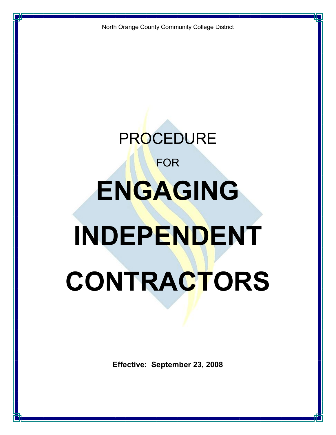North Orange County Community College District

# **PROCEDURE** FOR **ENGAGING INDEPENDENT CONTRACTORS**

**Effective: September 23, 2008**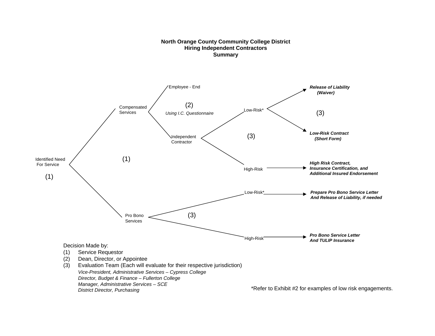### **North Orange County Community College District Hiring Independent Contractors Summary**



\*Refer to Exhibit #2 for examples of low risk engagements.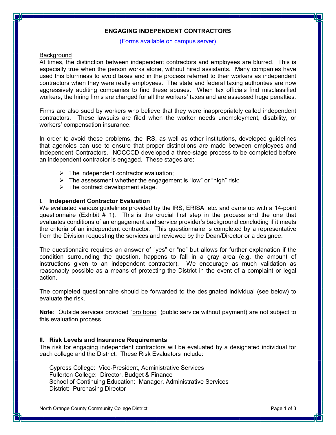# **ENGAGING INDEPENDENT CONTRACTORS**

## (Forms available on campus server)

## **Background**

At times, the distinction between independent contractors and employees are blurred. This is especially true when the person works alone, without hired assistants. Many companies have used this blurriness to avoid taxes and in the process referred to their workers as independent contractors when they were really employees. The state and federal taxing authorities are now aggressively auditing companies to find these abuses. When tax officials find misclassified workers, the hiring firms are charged for all the workers' taxes and are assessed huge penalties.

Firms are also sued by workers who believe that they were inappropriately called independent contractors. These lawsuits are filed when the worker needs unemployment, disability, or workers' compensation insurance.

In order to avoid these problems, the IRS, as well as other institutions, developed guidelines that agencies can use to ensure that proper distinctions are made between employees and Independent Contractors. NOCCCD developed a three-stage process to be completed before an independent contractor is engaged. These stages are:

- $\triangleright$  The independent contractor evaluation;
- $\triangleright$  The assessment whether the engagement is "low" or "high" risk;
- $\triangleright$  The contract development stage.

# **I. Independent Contractor Evaluation**

We evaluated various guidelines provided by the IRS, ERISA, etc. and came up with a 14-point questionnaire (Exhibit  $# 1$ ). This is the crucial first step in the process and the one that evaluates conditions of an engagement and service provider's background concluding if it meets the criteria of an independent contractor. This questionnaire is completed by a representative from the Division requesting the services and reviewed by the Dean/Director or a designee.

The questionnaire requires an answer of "yes" or "no" but allows for further explanation if the condition surrounding the question, happens to fall in a gray area (e.g. the amount of instructions given to an independent contractor). We encourage as much validation as reasonably possible as a means of protecting the District in the event of a complaint or legal action.

The completed questionnaire should be forwarded to the designated individual (see below) to evaluate the risk.

**Note**: Outside services provided "pro bono" (public service without payment) are not subject to this evaluation process.

# **II. Risk Levels and Insurance Requirements**

The risk for engaging independent contractors will be evaluated by a designated individual for each college and the District. These Risk Evaluators include:

Cypress College: Vice-President, Administrative Services Fullerton College: Director, Budget & Finance School of Continuing Education: Manager, Administrative Services District: Purchasing Director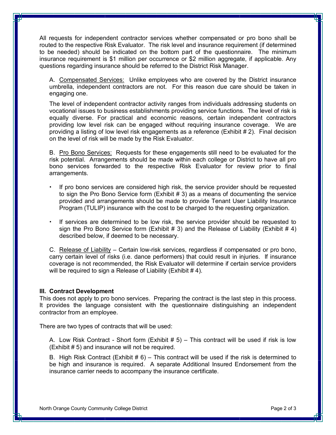All requests for independent contractor services whether compensated or pro bono shall be routed to the respective Risk Evaluator. The risk level and insurance requirement (if determined to be needed) should be indicated on the bottom part of the questionnaire. The minimum insurance requirement is \$1 million per occurrence or \$2 million aggregate, if applicable. Any questions regarding insurance should be referred to the District Risk Manager.

A. Compensated Services: Unlike employees who are covered by the District insurance umbrella, independent contractors are not. For this reason due care should be taken in engaging one.

The level of independent contractor activity ranges from individuals addressing students on vocational issues to business establishments providing service functions. The level of risk is equally diverse. For practical and economic reasons, certain independent contractors providing low level risk can be engaged without requiring insurance coverage. We are providing a listing of low level risk engagements as a reference (Exhibit # 2). Final decision on the level of risk will be made by the Risk Evaluator.

B. Pro Bono Services: Requests for these engagements still need to be evaluated for the risk potential. Arrangements should be made within each college or District to have all pro bono services forwarded to the respective Risk Evaluator for review prior to final arrangements.

- † If pro bono services are considered high risk, the service provider should be requested to sign the Pro Bono Service form (Exhibit  $# 3$ ) as a means of documenting the service provided and arrangements should be made to provide Tenant User Liability Insurance Program (TULIP) insurance with the cost to be charged to the requesting organization.
- † If services are determined to be low risk, the service provider should be requested to sign the Pro Bono Service form (Exhibit # 3) and the Release of Liability (Exhibit # 4) described below, if deemed to be necessary.

C. Release of Liability – Certain lowrisk services, regardless if compensated or pro bono, carry certain level of risks (i.e. dance performers) that could result in injuries. If insurance coverage is not recommended, the Risk Evaluator will determine if certain service providers will be required to sign a Release of Liability (Exhibit #4).

# **III. Contract Development**

This does not apply to pro bono services. Preparing the contract is the last step in this process. It provides the language consistent with the questionnaire distinguishing an independent contractor from an employee.

There are two types of contracts that will be used:

A. Low Risk Contract - Short form (Exhibit  $# 5$ ) – This contract will be used if risk is low (Exhibit # 5) and insurance will not be required.

B. High Risk Contract (Exhibit  $# 6$ ) – This contract will be used if the risk is determined to be high and insurance is required. A separate Additional Insured Endorsement from the insurance carrier needs to accompany the insurance certificate.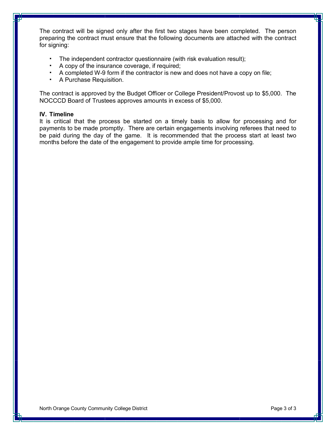The contract will be signed only after the first two stages have been completed. The person preparing the contract must ensure that the following documents are attached with the contract for signing:

- † The independent contractor questionnaire (with risk evaluation result);
- † A copy of the insurance coverage, if required;
- A completed W-9 form if the contractor is new and does not have a copy on file;
- † A Purchase Requisition.

The contract is approved by the Budget Officer or College President/Provost up to \$5,000. The NOCCCD Board of Trustees approves amounts in excess of \$5,000.

# **IV. Timeline**

It is critical that the process be started on a timely basis to allow for processing and for payments to be made promptly. There are certain engagements involving referees that need to be paid during the day of the game. It is recommended that the process start at least two months before the date of the engagement to provide ample time for processing.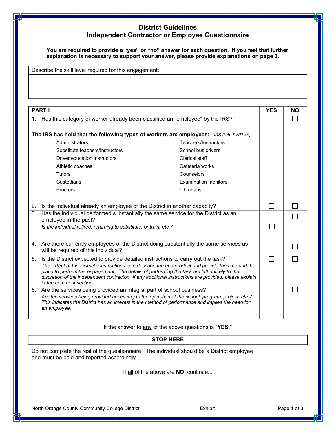# **District Guidelines Independent Contractor or Employee Questionnaire**

**You are required to provide a "yes" or "no" answer for each question. If you feel that further explanation is necessary to support your answer, please provide explanations on page 3.**

Describe the skill level required for this engagement:

| <b>PART I</b>                                                                                                                                                                                                          |                                                                                                                                                                                                       |                             | <b>YES</b> | <b>NO</b> |
|------------------------------------------------------------------------------------------------------------------------------------------------------------------------------------------------------------------------|-------------------------------------------------------------------------------------------------------------------------------------------------------------------------------------------------------|-----------------------------|------------|-----------|
| 1.                                                                                                                                                                                                                     | Has this category of worker already been classified an "employee" by the IRS? *                                                                                                                       |                             |            |           |
|                                                                                                                                                                                                                        |                                                                                                                                                                                                       |                             |            |           |
|                                                                                                                                                                                                                        | The IRS has held that the following types of workers are employees: (IRS Pub. SWR-40)                                                                                                                 |                             |            |           |
|                                                                                                                                                                                                                        | Administrators                                                                                                                                                                                        | Teachers/Instructors        |            |           |
|                                                                                                                                                                                                                        | Substitute teachers/instructors                                                                                                                                                                       | School bus drivers          |            |           |
|                                                                                                                                                                                                                        | Driver education instructors                                                                                                                                                                          | Clerical staff              |            |           |
|                                                                                                                                                                                                                        | Athletic coaches                                                                                                                                                                                      | Cafeteria works             |            |           |
|                                                                                                                                                                                                                        | Tutors                                                                                                                                                                                                | Counselors                  |            |           |
|                                                                                                                                                                                                                        | Custodians                                                                                                                                                                                            | <b>Examination monitors</b> |            |           |
| Proctors<br>Librarians                                                                                                                                                                                                 |                                                                                                                                                                                                       |                             |            |           |
|                                                                                                                                                                                                                        |                                                                                                                                                                                                       |                             |            |           |
| 2. Is the individual already an employee of the District in another capacity?                                                                                                                                          |                                                                                                                                                                                                       |                             |            |           |
| 3.                                                                                                                                                                                                                     | Has the individual performed substantially the same service for the District as an<br>employee in the past?                                                                                           |                             |            |           |
|                                                                                                                                                                                                                        | Is the individual retired, returning to substitute, or train, etc.?                                                                                                                                   |                             |            |           |
|                                                                                                                                                                                                                        |                                                                                                                                                                                                       |                             |            |           |
|                                                                                                                                                                                                                        | 4. Are there currently employees of the District doing substantially the same services as                                                                                                             |                             |            |           |
|                                                                                                                                                                                                                        | will be required of this individual?                                                                                                                                                                  |                             |            |           |
| 5.                                                                                                                                                                                                                     | Is the District expected to provide detailed instructions to carry out the task?                                                                                                                      |                             |            |           |
|                                                                                                                                                                                                                        | The extent of the District's instructions is to describe the end product and provide the time and the<br>place to perform the engagement. The details of performing the task are left entirely to the |                             |            |           |
|                                                                                                                                                                                                                        | discretion of the independent contractor. If any additional instructions are provided, please explain                                                                                                 |                             |            |           |
|                                                                                                                                                                                                                        | in the comment section.                                                                                                                                                                               |                             |            |           |
|                                                                                                                                                                                                                        | 6. Are the services being provided an integral part of school business?                                                                                                                               |                             |            |           |
| Are the services being provided necessary to the operation of the school, program, project, etc.?<br>This indicates the District has an interest in the method of performance and implies the need for<br>an employee. |                                                                                                                                                                                                       |                             |            |           |
|                                                                                                                                                                                                                        |                                                                                                                                                                                                       |                             |            |           |

If the answer to any of the above questions is "**YES**,"

# **STOP HERE**

Do not complete the rest of the questionnaire. The individual should be a District employee and must be paid and reported accordingly.

If all of the above are **NO**, continue...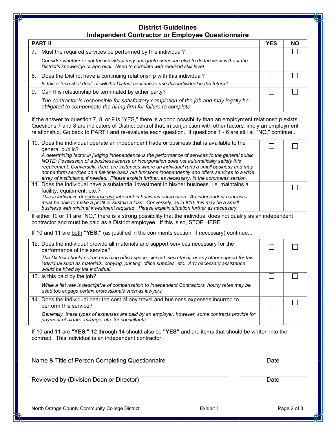# **District Guidelines Independent Contractor or Employee Questionnaire**

| <b>PART II</b> |                                                                                                                                                                                | YES | NΟ |
|----------------|--------------------------------------------------------------------------------------------------------------------------------------------------------------------------------|-----|----|
| 7.             | Must the required services be performed by this individual?                                                                                                                    |     |    |
|                | Consider whether or not the individual may designate someone else to do the work without the<br>District's knowledge or approval. Need to correlate with required skill level. |     |    |
| 8.             | Does the District have a continuing relationship with this individual?                                                                                                         |     |    |
|                | Is this a "one shot deal" or will the District continue to use this individual in the future?                                                                                  |     |    |
|                | 9. Can this relationship be terminated by either party?                                                                                                                        |     |    |
|                | The contractor is responsible for satisfactory completion of the job and may legally be<br>obligated to compensate the hiring firm for failure to complete.                    |     |    |

If the answer to question 7, 8, or 9 is "YES," there is a good possibility than an employment relationship exists. Questions 7 and 8 are indicators of District control that, in conjunction with other factors, imply an employment relationship. Go back to PART I and re-evaluate each question. If questions 1 - 6 are still all "NO," continue...

| 10. Does the individual operate an independent trade or business that is available to the<br>general public?                                                                                            |  |
|---------------------------------------------------------------------------------------------------------------------------------------------------------------------------------------------------------|--|
| A determining factor in judging independence is the performance of services to the general public.                                                                                                      |  |
| NOTE: Possession of a business license or incorporation does not automatically satisfy this<br>requirement. Conversely, there are instances where an individual runs a small business and may           |  |
| not perform services on a full-time basis but functions independently and offers services to a wide<br>array of institutions, if needed. Please explain further, as necessary, in the comments section. |  |
| 11. Does the individual have a substantial investment in his/her business, i.e. maintains a                                                                                                             |  |
| facility, equipment, etc.?                                                                                                                                                                              |  |
| This is indicative of economic risk inherent in business enterprises. An independent contractor                                                                                                         |  |
| must be able to make a profit or sustain a loss. Conversely, as in #10, this may be a small                                                                                                             |  |
| business with minimal investment required. Please explain situation further as necessary.                                                                                                               |  |
|                                                                                                                                                                                                         |  |

If either 10 or 11 are "NO," there is a strong possibility that the individual does not qualify as an independent contractor and must be paid as a District employee. If this is so, STOP HERE.

If 10 and 11 are both **"YES,"** (as justified in the comments section, if necessary) continue...

| 12. Does the individual provide all materials and support services necessary for the<br>performance of this service?                                                                                                                            |  |
|-------------------------------------------------------------------------------------------------------------------------------------------------------------------------------------------------------------------------------------------------|--|
| The District should not be providing office space, clerical, secretarial, or any other support for this<br>individual such as materials, copying, printing, office supplies, etc. Any necessary assistance<br>would be hired by the individual. |  |
| 13. Is this paid by the job?                                                                                                                                                                                                                    |  |
| While a flat rate is descriptive of compensation to Independent Contractors, hourly rates may be<br>used too engage certain professionals such as lawyers.                                                                                      |  |
| 14. Does the individual bear the cost of any travel and business expenses incurred to<br>perform this service?                                                                                                                                  |  |
| Generally, these types of expenses are paid by an employer, however, some contracts provide for<br>payment of airfare, mileage, etc. for consultants.                                                                                           |  |

If 10 and 11 are **"YES,"** 12 through 14 should also be **"YES"** and are items that should be written into the contract. This individual is an independent contractor.

| Date |
|------|
| Date |
|      |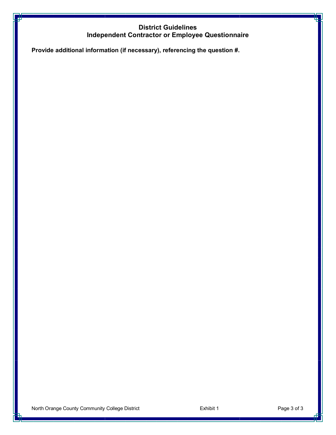# **District Guidelines Independent Contractor or Employee Questionnaire**

**Provide additional information (if necessary), referencing the question #.**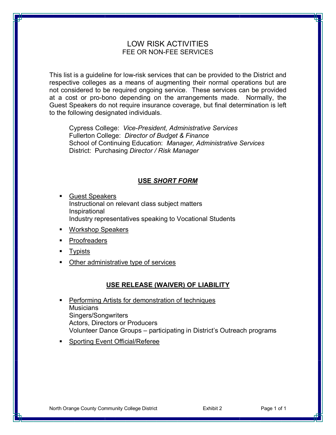# LOW RISK ACTIVITIES FEE OR NON-FEE SERVICES

This list is a guideline for low-risk services that can be provided to the District and respective colleges as a means of augmenting their normal operations but are not considered to be required ongoing service. These services can be provided at a cost or pro-bono depending on the arrangements made. Normally, the Guest Speakers do not require insurance coverage, but final determination is left to the following designated individuals.

Cypress College: *Vice-President, Administrative Services* Fullerton College: *Director of Budget & Finance* School of Continuing Education: *Manager, Administrative Services* District: Purchasing *Director / Risk Manager*

# **USE** *SHORT FORM*

- ß Guest Speakers Instructional on relevant class subject matters Inspirational Industry representatives speaking to Vocational Students
- Workshop Speakers
- **Proofreaders**
- **Typists**
- Other administrative type of services

# **USE RELEASE (WAIVER) OF LIABILITY**

- **Performing Artists for demonstration of techniques Musicians** Singers/Songwriters Actors, Directors or Producers Volunteer Dance Groups – participating in District's Outreach programs
- ß Sporting Event Official/Referee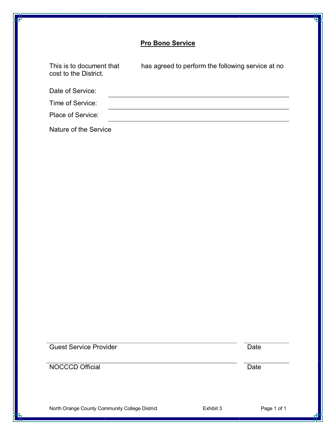# **Pro Bono Service**

| This is to document that<br>cost to the District. | has agreed to perform the following service at no |
|---------------------------------------------------|---------------------------------------------------|
| Date of Service:                                  |                                                   |
| Time of Service:                                  |                                                   |
| Place of Service:                                 |                                                   |
| Nature of the Service                             |                                                   |

Guest Service Provider **Date** 

NOCCCD Official Date

North Orange County Community College District **Exhibit 3** Exhibit 3 Page 1 of 1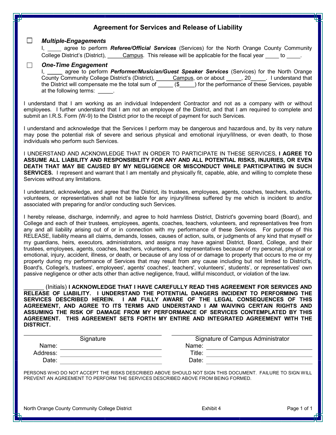| <b>Agreement for Services and Release of Liability</b>                                                                                                                                                                                                                                                                                                                                                                                                                                                                                                                                                                                                                                                                                                                                                                                                                                                                                                                                                                                                                                                                                                                                                                                 |  |  |  |
|----------------------------------------------------------------------------------------------------------------------------------------------------------------------------------------------------------------------------------------------------------------------------------------------------------------------------------------------------------------------------------------------------------------------------------------------------------------------------------------------------------------------------------------------------------------------------------------------------------------------------------------------------------------------------------------------------------------------------------------------------------------------------------------------------------------------------------------------------------------------------------------------------------------------------------------------------------------------------------------------------------------------------------------------------------------------------------------------------------------------------------------------------------------------------------------------------------------------------------------|--|--|--|
| $\sqcup$<br><b>Multiple-Engagements</b>                                                                                                                                                                                                                                                                                                                                                                                                                                                                                                                                                                                                                                                                                                                                                                                                                                                                                                                                                                                                                                                                                                                                                                                                |  |  |  |
| I, agree to perform <b>Referee/Official Services</b> (Services) for the North Orange County Community<br>College District's (District), Campus. This release will be applicable for the fiscal year _____ to _____.                                                                                                                                                                                                                                                                                                                                                                                                                                                                                                                                                                                                                                                                                                                                                                                                                                                                                                                                                                                                                    |  |  |  |
| <b>One-Time Engagement</b><br>$\Box$<br>I, _____ agree to perform <i>Performer/Musician/Guest Speaker Services</i> (Services) for the North Orange<br>County Community College District's (District), Campus, on or about 20 ____, 20 ____. I understand that the District will compensate me the total sum of ____ (\$____) for the performance of these Services, payable<br>at the following terms: _____.                                                                                                                                                                                                                                                                                                                                                                                                                                                                                                                                                                                                                                                                                                                                                                                                                          |  |  |  |
| I understand that I am working as an individual Independent Contractor and not as a company with or without<br>employees. I further understand that I am not an employee of the District, and that I am required to complete and<br>submit an I.R.S. Form (W-9) to the District prior to the receipt of payment for such Services.                                                                                                                                                                                                                                                                                                                                                                                                                                                                                                                                                                                                                                                                                                                                                                                                                                                                                                     |  |  |  |
| I understand and acknowledge that the Services I perform may be dangerous and hazardous and, by its very nature<br>may pose the potential risk of severe and serious physical and emotional injury/illness, or even death, to those<br>individuals who perform such Services.                                                                                                                                                                                                                                                                                                                                                                                                                                                                                                                                                                                                                                                                                                                                                                                                                                                                                                                                                          |  |  |  |
| I UNDERSTAND AND ACKNOWLEDGE THAT IN ORDER TO PARTICIPATE IN THESE SERVICES, I AGREE TO<br>ASSUME ALL LIABILITY AND RESPONSIBILITY FOR ANY AND ALL POTENTIAL RISKS, INJURIES, OR EVEN<br>DEATH THAT MAY BE CAUSED BY MY NEGLIGENCE OR MISCONDUCT WHILE PARTICIPATING IN SUCH<br>SERVICES. I represent and warrant that I am mentally and physically fit, capable, able, and willing to complete these<br>Services without any limitations.                                                                                                                                                                                                                                                                                                                                                                                                                                                                                                                                                                                                                                                                                                                                                                                             |  |  |  |
| I understand, acknowledge, and agree that the District, its trustees, employees, agents, coaches, teachers, students,<br>volunteers, or representatives shall not be liable for any injury/illness suffered by me which is incident to and/or<br>associated with preparing for and/or conducting such Services.                                                                                                                                                                                                                                                                                                                                                                                                                                                                                                                                                                                                                                                                                                                                                                                                                                                                                                                        |  |  |  |
| I hereby release, discharge, indemnify, and agree to hold harmless District, District's governing board (Board), and<br>College and each of their trustees, employees, agents, coaches, teachers, volunteers, and representatives free from<br>any and all liability arising out of or in connection with my performance of these Services. For purpose of this<br>RELEASE, liability means all claims, demands, losses, causes of action, suits, or judgments of any kind that myself or<br>my guardians, heirs, executors, administrators, and assigns may have against District, Board, College, and their<br>trustees, employees, agents, coaches, teachers, volunteers, and representatives because of my personal, physical or<br>emotional, injury, accident, illness, or death, or because of any loss of or damage to property that occurs to me or my<br>property during my performance of Services that may result from any cause including but not limited to District's,<br>Board's, College's, trustees', employees', agents' coaches', teachers', volunteers', students', or representatives' own<br>passive negligence or other acts other than active negligence, fraud, willful misconduct, or violation of the law. |  |  |  |
| (Initials) I ACKNOWLEDGE THAT I HAVE CAREFULLY READ THIS AGREEMENT FOR SERVICES AND<br>RELEASE OF LIABILITY. I UNDERSTAND THE POTENTIAL DANGERS INCIDENT TO PERFORMING THE<br>SERVICES DESCRIBED HEREIN. I AM FULLY AWARE OF THE LEGAL CONSEQUENCES OF THIS<br>AGREEMENT, AND AGREE TO ITS TERMS AND UNDERSTAND I AM WAIVING CERTAIN RIGHTS AND<br>ASSUMING THE RISK OF DAMAGE FROM MY PERFORMANCE OF SERVICES CONTEMPLATED BY THIS<br>AGREEMENT. THIS AGREEMENT SETS FORTH MY ENTIRE AND INTEGRATED AGREEMENT WITH THE<br><b>DISTRICT.</b>                                                                                                                                                                                                                                                                                                                                                                                                                                                                                                                                                                                                                                                                                            |  |  |  |
| Signature of Campus Administrator<br>Signature                                                                                                                                                                                                                                                                                                                                                                                                                                                                                                                                                                                                                                                                                                                                                                                                                                                                                                                                                                                                                                                                                                                                                                                         |  |  |  |
| Name: 2008 2010 2020 2021 2021 2022 2022 2023 2024 2022 2022 2023 2024 2022 2023 2024 2022 2023 2024 2022 2023                                                                                                                                                                                                                                                                                                                                                                                                                                                                                                                                                                                                                                                                                                                                                                                                                                                                                                                                                                                                                                                                                                                         |  |  |  |
|                                                                                                                                                                                                                                                                                                                                                                                                                                                                                                                                                                                                                                                                                                                                                                                                                                                                                                                                                                                                                                                                                                                                                                                                                                        |  |  |  |
|                                                                                                                                                                                                                                                                                                                                                                                                                                                                                                                                                                                                                                                                                                                                                                                                                                                                                                                                                                                                                                                                                                                                                                                                                                        |  |  |  |
| PERSONS WHO DO NOT ACCEPT THE RISKS DESCRIBED ABOVE SHOULD NOT SIGN THIS DOCUMENT. FAILURE TO SIGN WILL<br>PREVENT AN AGREEMENT TO PERFORM THE SERVICES DESCRIBED ABOVE FROM BEING FORMED.                                                                                                                                                                                                                                                                                                                                                                                                                                                                                                                                                                                                                                                                                                                                                                                                                                                                                                                                                                                                                                             |  |  |  |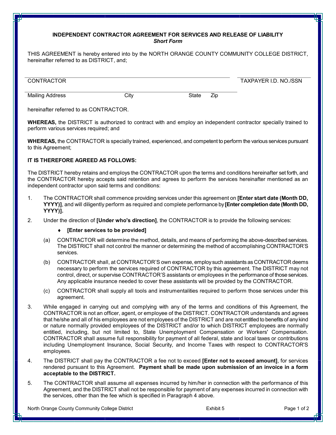# **INDEPENDENT CONTRACTOR AGREEMENT FOR SERVICES AND RELEASE OF LIABILITY** *Short Form*

THIS AGREEMENT is hereby entered into by the NORTH ORANGE COUNTY COMMUNITY COLLEGE DISTRICT, hereinafter referred to as DISTRICT, and;

| <b>CONTRACTOR</b> |      |              | TAXPAYER I.D. NO./SSN |
|-------------------|------|--------------|-----------------------|
| Mailing Address   | Citv | Zip<br>State |                       |

hereinafter referred to as CONTRACTOR.

**WHEREAS,** the DISTRICT is authorized to contract with and employ an independent contractor specially trained to perform various services required; and

**WHEREAS,** the CONTRACTOR is specially trained, experienced, and competent to perform the various services pursuant to this Agreement;

# **IT IS THEREFORE AGREED AS FOLLOWS:**

The DISTRICT hereby retains and employs the CONTRACTOR upon the terms and conditions hereinafter set forth, and the CONTRACTOR hereby accepts said retention and agrees to perform the services hereinafter mentioned as an independent contractor upon said terms and conditions:

- 1. The CONTRACTOR shall commence providing services under this agreement on **[Enter start date (Month DD, YYYY)]**, and will diligently perform as required and complete performance by **[Enter completion date (Month DD, YYYY)].**
- 2. Under the direction of **[Under who's direction]**, the CONTRACTOR is to provide the following services:

# ® **[Enter services to be provided]**

- (a) CONTRACTOR will determine the method, details, and means of performing the above-described services. The DISTRICT shall not control the manner or determining the method of accomplishing CONTRACTOR'S services.
- (b) CONTRACTOR shall, at CONTRACTOR'S own expense, employ such assistants as CONTRACTOR deems necessary to perform the services required of CONTRACTOR by this agreement. The DISTRICT may not control, direct, or supervise CONTRACTOR'S assistants or employees in the performance of those services. Any applicable insurance needed to cover these assistants will be provided by the CONTRACTOR.
- (c) CONTRACTOR shall supply all tools and instrumentalities required to perform those services under this agreement.
- 3. While engaged in carrying out and complying with any of the terms and conditions of this Agreement, the CONTRACTOR is not an officer, agent, or employee of the DISTRICT. CONTRACTOR understands and agrees that he/she and all of his employees are not employees of the DISTRICT and are not entitled to benefits of any kind or nature normally provided employees of the DISTRICT and/or to which DISTRICT employees are normally entitled, including, but not limited to, State Unemployment Compensation or Workers' Compensation. CONTRACTOR shall assume full responsibility for payment of all federal, state and local taxes or contributions including Unemployment Insurance, Social Security, and Income Taxes with respect to CONTRACTOR'S employees.
- 4. The DISTRICT shall pay the CONTRACTOR a fee not to exceed **[Enter not to exceed amount]**, for services rendered pursuant to this Agreement. **Payment shall be made upon submission of an invoice in a form acceptable to the DISTRICT.**
- 5. The CONTRACTOR shall assume all expenses incurred by him/her in connection with the performance of this Agreement, and the DISTRICT shall not be responsible for payment of any expenses incurred in connection with the services, other than the fee which is specified in Paragraph 4 above.

North Orange County Community College District **Exhibit 5** Exhibit 5 Page 1 of 2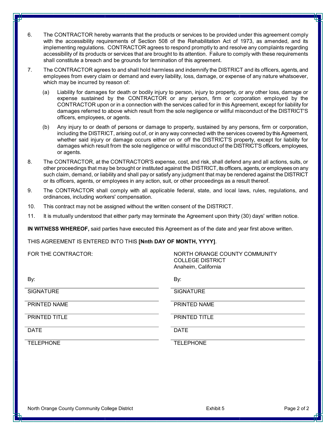- 6. The CONTRACTOR hereby warrants that the products or services to be provided under this agreement comply with the accessibility requirements of Section 508 of the Rehabilitation Act of 1973, as amended, and its implementing regulations. CONTRACTOR agrees to respond promptly to and resolve any complaints regarding accessibility of its products or services that are brought to its attention. Failure to comply with these requirements shall constitute a breach and be grounds for termination of this agreement.
- 7. The CONTRACTOR agrees to and shall hold harmless and indemnify the DISTRICT and its officers, agents, and employees from every claim or demand and every liability, loss, damage, or expense of any nature whatsoever, which may be incurred by reason of:
	- (a) Liability for damages for death or bodily injury to person, injury to property, or any other loss, damage or expense sustained by the CONTRACTOR or any person, firm or corporation employed by the CONTRACTOR upon or in a connection with the services called for in this Agreement, except for liability for damages referred to above which result from the sole negligence or willful misconduct of the DISTRICT'S officers, employees, or agents.
	- (b) Any injury to or death of persons or damage to property, sustained by any persons, firm or corporation, including the DISTRICT, arising out of, or in any way connected with the services covered by this Agreement, whether said injury or damage occurs either on or off the DISTRICT'S property, except for liability for damages which result from the sole negligence or willful misconduct of the DISTRICT'Sofficers, employees, or agents.
- 8. The CONTRACTOR, at the CONTRACTOR'S expense, cost, and risk, shall defend any and all actions, suits, or other proceedings that may be brought or instituted against the DISTRICT, its officers, agents, or employees on any such claim, demand, or liability and shall pay or satisfy any judgment that may be rendered against the DISTRICT or its officers, agents, or employees in any action, suit, or other proceedings as a result thereof.
- 9. The CONTRACTOR shall comply with all applicable federal, state, and local laws, rules, regulations, and ordinances, including workers' compensation.
- 10. This contract may not be assigned without the written consent of the DISTRICT.
- 11. It is mutually understood that either party may terminate the Agreement upon thirty (30) days' written notice.

**IN WITNESS WHEREOF,** said parties have executed this Agreement as of the date and year first above written.

#### THIS AGREEMENT IS ENTERED INTO THIS **[Nnth DAY OF MONTH, YYYY]**.

| FOR THE CONTRACTOR:  | NORTH ORANGE COUNTY COMMUNITY<br><b>COLLEGE DISTRICT</b><br>Anaheim, California |
|----------------------|---------------------------------------------------------------------------------|
| By:                  | By:                                                                             |
| <b>SIGNATURE</b>     | <b>SIGNATURE</b>                                                                |
| PRINTED NAME         | PRINTED NAME                                                                    |
| <b>PRINTED TITLE</b> | <b>PRINTED TITLE</b>                                                            |
| <b>DATE</b>          | <b>DATE</b>                                                                     |
| <b>TELEPHONE</b>     | <b>TELEPHONE</b>                                                                |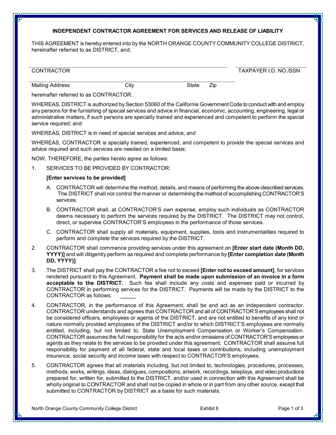### **INDEPENDENT CONTRACTOR AGREEMENT FOR SERVICES AND RELEASE OF LIABILITY**

THIS AGREEMENT is hereby entered into by the NORTH ORANGE COUNTY COMMUNITY COLLEGE DISTRICT, hereinafter referred to as DISTRICT, and;

| TRACTOR<br>$\bigcap N \cap \bigcup$ | ን./SSN<br>NO.<br>I.D<br><b>PAYFR</b><br>$\cdot$ $\vee$<br>$\cdots$ |
|-------------------------------------|--------------------------------------------------------------------|
|                                     |                                                                    |

Mailing Address **City** City City State Zip

hereinafter referred to as CONTRACTOR.

WHEREAS, DISTRICT is authorized by Section 53060 of the California Government Code to conduct with and employ any persons for the furnishing of special services and advice in financial, economic, accounting, engineering, legal or administrative matters, if such persons are specially trained and experienced and competent to perform the special service required; and

WHEREAS, DISTRICT is in need of special services and advice; and

WHEREAS, CONTRACTOR is specially trained, experienced, and competent to provide the special services and advice required and such services are needed on a limited basis;

NOW, THEREFORE, the parties hereto agree as follows:

1. SERVICES TO BE PROVIDED BY CONTRACTOR:

#### **[Enter services to be provided]**

- A. CONTRACTOR will determine the method, details, and means of performing the above-described services. The DISTRICT shall not control the manner or determining the method of accomplishing CONTRACTOR'S services.
- B. CONTRACTOR shall, at CONTRACTOR'S own expense, employ such individuals as CONTRACTOR deems necessary to perform the services required by the DISTRICT. The DISTRICT may not control, direct, or supervise CONTRACTOR'S employees in the performance of those services.
- C. CONTRACTOR shall supply all materials, equipment, supplies, tools and instrumentalities required to perform and complete the services required by the DISTRICT.
- 2. CONTRACTOR shall commence providing services under this agreement on **[Enter start date (Month DD, YYYY)]** and will diligently perform as required and complete performance by **[Enter completion date (Month DD, YYYY)]**.
- 3. The DISTRICT shall pay the CONTRACTOR a fee not to exceed **[Enter not to exceed amount]**, for services rendered pursuant to this Agreement. **Payment shall be made upon submission of an invoice in a form acceptable to the DISTRICT.** Such fee shall include any costs and expenses paid or incurred by CONTRACTOR in performing services for the DISTRICT. Payments will be made by the DISTRICT to the CONTRACTOR as follows:
- 4. CONTRACTOR, in the performance of this Agreement, shall be and act as an independent contractor. CONTRACTOR understands and agrees that CONTRACTOR and all of CONTRACTOR'Semployees shall not be considered officers, employees or agents of the DISTRICT, and are not entitled to benefits of any kind or nature normally provided employees of the DISTRICT and/or to which DISTRICT'S employees are normally entitled, including, but not limited to, State Unemployment Compensation or Worker's Compensation. CONTRACTOR assumes the full responsibility for the acts and/or omissions of CONTRACTOR'Semployees or agents as they relate to the services to be provided under this agreement. CONTRACTOR shall assume full responsibility for payment of all federal, state and local taxes or contributions, including unemployment insurance, social security and income taxes with respect to CONTRACTOR'S employees.
- 5. CONTRACTOR agrees that all materials including, but not limited to, technologies, procedures, processes, methods, works, writings, ideas, dialogues, compositions, artwork, recordings, teleplays, and video productions prepared for, written for, submitted to the DISTRICT, and/or used in connection with this Agreement shall be wholly original to CONTRACTOR and shall not be copied in whole or in part from any other source, except that submitted to CONTRACTOR by DISTRICT as a basis for such materials.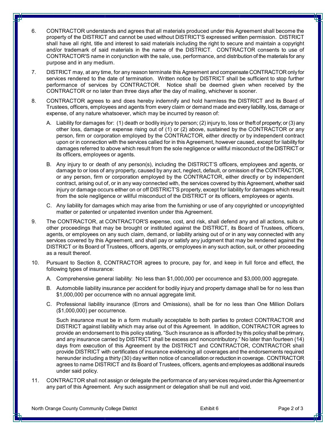- 6. CONTRACTOR understands and agrees that all materials produced under this Agreement shall become the property of the DISTRICT and cannot be used without DISTRICT'S expressed written permission. DISTRICT shall have all right, title and interest to said materials including the right to secure and maintain a copyright and/or trademark of said materials in the name of the DISTRICT. CONTRACTOR consents to use of CONTRACTOR'S name in conjunction with the sale, use, performance, and distribution of the materials for any purpose and in any medium.
- 7. DISTRICT may, at any time, for any reason terminate this Agreement and compensate CONTRACTOR only for services rendered to the date of termination. Written notice by DISTRICT shall be sufficient to stop further performance of services by CONTRACTOR. Notice shall be deemed given when received by the CONTRACTOR orno later than three days after the day of mailing, whichever is sooner.
- 8. CONTRACTOR agrees to and does hereby indemnify and hold harmless the DISTRICT and its Board of Trustees, officers, employees and agents from every claim or demand made and every liability, loss, damage or expense, of any nature whatsoever, which may be incurred by reason of:
	- A. Liability for damages for: (1) death or bodily injury to person; (2) injury to, loss or theft of property; or (3) any other loss, damage or expense rising out of (1) or (2) above, sustained by the CONTRACTOR orany person, firm or corporation employed by the CONTRACTOR, either directly or by independent contract upon or in connection with the services called for in this Agreement, however caused, except for liability for damages referred to above which result from the sole negligence or willful misconduct of the DISTRICT or its officers, employees or agents.
	- B. Any injury to or death of any person(s), including the DISTRICT'S officers, employees and agents, or damage to or loss of any property, caused by any act, neglect, default, or omission of the CONTRACTOR, or any person, firm or corporation employed by the CONTRACTOR, either directly or by independent contract, arising out of, or in any way connected with, the services covered by this Agreement, whether said injury or damage occurs either on or off DISTRICT'S property, except for liability for damages which result from the sole negligence or willful misconduct of the DISTRICT or its officers, employees or agents.
	- C. Any liability for damages which may arise from the furnishing or use of any copyrighted or uncopyrighted matter or patented or unpatented invention under this Agreement.
- 9. The CONTRACTOR, at CONTRACTOR'S expense, cost, and risk, shall defend any and all actions, suits or other proceedings that may be brought or instituted against the DISTRICT, its Board of Trustees, officers, agents, or employees on any such claim, demand, or liability arising out of or in any way connected with any services covered by this Agreement, and shall pay or satisfy any judgment that may be rendered against the DISTRICT or its Board of Trustees, officers, agents, or employees in any such action, suit, or other proceeding as a result thereof.
- 10. Pursuant to Section 8, CONTRACTOR agrees to procure, pay for, and keep in full force and effect, the following types of insurance:
	- A. Comprehensive general liability: No less than \$1,000,000 per occurrence and \$3,000,000 aggregate.
	- B. Automobile liability insurance per accident for bodily injury and property damage shall be for no less than \$1,000,000 per occurrence with no annual aggregate limit.
	- C. Professional liability insurance (Errors and Omissions), shall be for no less than One Million Dollars (\$1,000,000) per occurrence.

Such insurance must be in a form mutually acceptable to both parties to protect CONTRACTOR and DISTRICT against liability which may arise out of this Agreement. In addition, CONTRACTOR agrees to provide an endorsement to this policy stating, "Such insurance as is afforded by this policy shall be primary, and any insurance carried by DISTRICT shall be excess and noncontributory." No later than fourteen (14) days from execution of this Agreement by the DISTRICT and CONTRACTOR, CONTRACTOR shall provide DISTRICT with certificates of insurance evidencing all coverages and the endorsements required hereunder including a thirty (30) day written notice of cancellation or reduction in coverage. CONTRACTOR agrees to name DISTRICT and its Board of Trustees, officers, agents and employees as additional insureds under said policy.

11. CONTRACTOR shall not assign or delegate the performance of any services required under this Agreement or any part of this Agreement. Any such assignment or delegation shall be null and void.